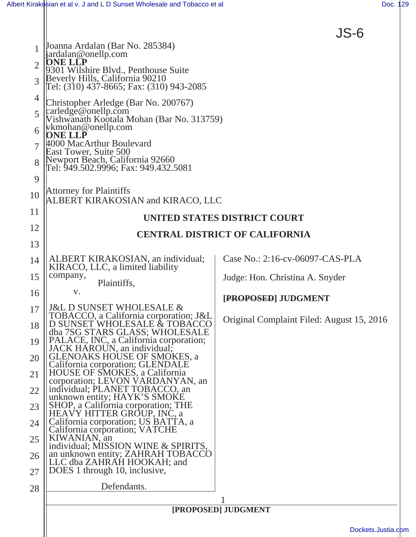

|                | Joanna Ardalan (Bar No. 285384)<br>jardalan@onellp.com                            |                                           |
|----------------|-----------------------------------------------------------------------------------|-------------------------------------------|
| $\overline{2}$ | DNE LLP<br>301 Wilshire Blvd., Penthouse Suite                                    |                                           |
| 3              | Beverly Hills, California 90210<br>Tel: (310) 437-8665; Fax: (310) 943-2085       |                                           |
| $\overline{4}$ | Christopher Arledge (Bar No. 200767)                                              |                                           |
| 5              | $cardge@$ onellp.com<br>Vishwanath Kootala Mohan (Bar No. 313759)                 |                                           |
| 6              | vkmohan@onellp.com<br>ONE LLP                                                     |                                           |
|                | 4000 MacArthur Boulevard<br>East Tower, Suite 500                                 |                                           |
| 8              | Newport Beach, California 92660<br>Tel: 949.502.9996; Fax: 949.432.5081           |                                           |
| 9              |                                                                                   |                                           |
| 10             | <b>Attorney for Plaintiffs</b><br>ALBERT KIRAKOSIAN and KIRACO, LLC               |                                           |
| 11             | UNITED STATES DISTRICT COURT                                                      |                                           |
| 12             | <b>CENTRAL DISTRICT OF CALIFORNIA</b>                                             |                                           |
| 13             |                                                                                   |                                           |
| 14             | ALBERT KIRAKOSIAN, an individual;<br>KIRACO, LLC, a limited liability             | Case No.: 2:16-cv-06097-CAS-PLA           |
| 15             | company,<br>Plaintiffs,                                                           | Judge: Hon. Christina A. Snyder           |
| 16             | V.                                                                                | [PROPOSED] JUDGMENT                       |
| 17             | <b>J&amp;L D SUNSET WHOLESALE &amp;</b><br>TOBACCO, a California corporation; J&L |                                           |
| 18             | D SUNSET WHOLESALE & TOBACCO<br>dba 7SG STARS GLASS; WHOLESALE                    | Original Complaint Filed: August 15, 2016 |
| 19             | PALACE, INC, a California corporation;<br>JACK HAROUN, an individual;             |                                           |
| 20             | <b>GLENOAKS HOUSE OF SMOKES, a</b><br>California corporation; GLENDALE            |                                           |
| 21             | HOUSE OF SMOKES, a California<br>corporation; LEVON VARDANYAN, an                 |                                           |
| 22             | individual; PLANET TOBACCO, an<br>unknown entity; HAYK'S SMOKE                    |                                           |
| 23             | SHOP, a California corporation; THE<br><b>HEAVY HITTER GROUP, INC, a</b>          |                                           |
| 24             | California corporation; US BATTA, a<br>California corporation; VATCHE             |                                           |
| 25             | KIWANIAN, an<br>individual; MISSION WINE & SPIRITS,                               |                                           |
| 26             | an unknown entity; ZAHRAH TOBACCO<br>LLC dba ZAHRAH HOOKAH; and                   |                                           |
| 27             | DOES 1 through 10, inclusive,                                                     |                                           |
| 28             | Defendants.                                                                       |                                           |
|                | [PROPOSED] JUDGMENT                                                               |                                           |
|                | Dockets.Justia.c                                                                  |                                           |
|                |                                                                                   |                                           |